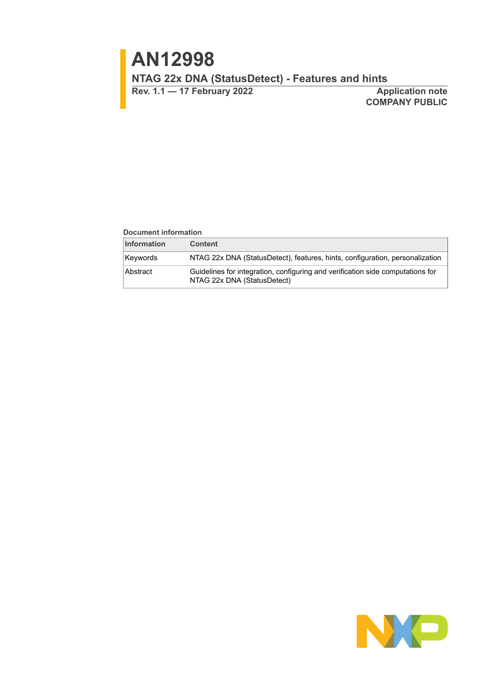**Rev. 1.1 — 17 February 2022 Application note**

**COMPANY PUBLIC**

#### **Document information**

| <b>Information</b> | <b>Content</b>                                                                                                |
|--------------------|---------------------------------------------------------------------------------------------------------------|
| Keywords           | NTAG 22x DNA (StatusDetect), features, hints, configuration, personalization                                  |
| Abstract           | Guidelines for integration, configuring and verification side computations for<br>NTAG 22x DNA (StatusDetect) |

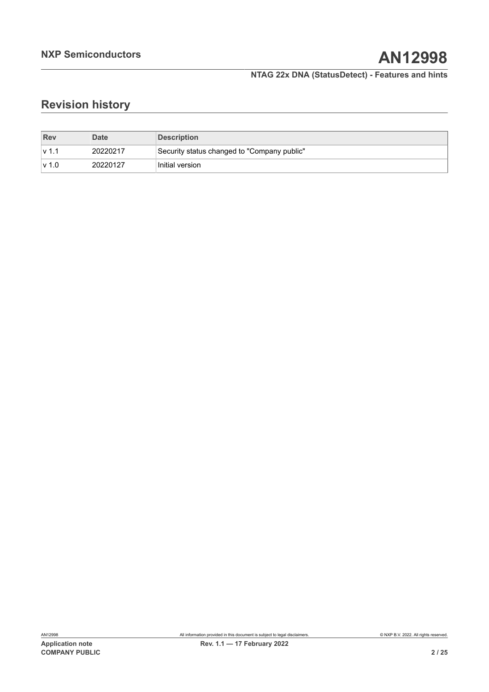# **Revision history**

| <b>Rev</b> | <b>Date</b> | <b>Description</b>                          |
|------------|-------------|---------------------------------------------|
| lv 1.      | 20220217    | Security status changed to "Company public" |
| $\vee$ 1.0 | 20220127    | Initial version                             |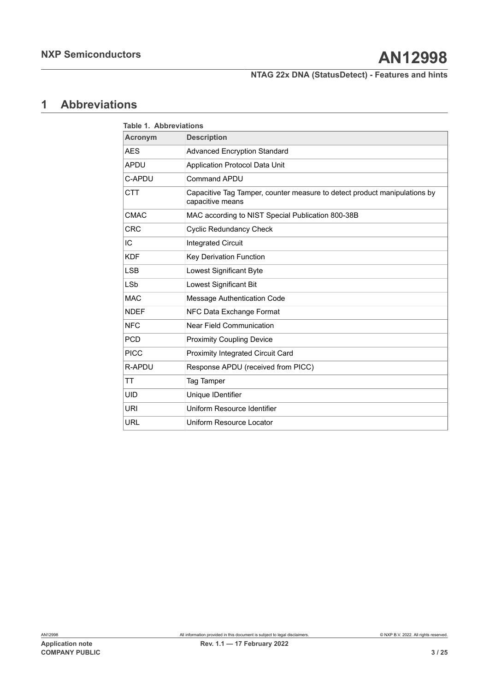## <span id="page-2-1"></span>**1 Abbreviations**

<span id="page-2-0"></span>

| <b>Table 1. Abbreviations</b> |                                                                                               |  |  |  |  |
|-------------------------------|-----------------------------------------------------------------------------------------------|--|--|--|--|
| <b>Acronym</b>                | <b>Description</b>                                                                            |  |  |  |  |
| <b>AES</b>                    | <b>Advanced Encryption Standard</b>                                                           |  |  |  |  |
| <b>APDU</b>                   | Application Protocol Data Unit                                                                |  |  |  |  |
| C-APDU                        | <b>Command APDU</b>                                                                           |  |  |  |  |
| <b>CTT</b>                    | Capacitive Tag Tamper, counter measure to detect product manipulations by<br>capacitive means |  |  |  |  |
| <b>CMAC</b>                   | MAC according to NIST Special Publication 800-38B                                             |  |  |  |  |
| <b>CRC</b>                    | <b>Cyclic Redundancy Check</b>                                                                |  |  |  |  |
| IC                            | <b>Integrated Circuit</b>                                                                     |  |  |  |  |
| <b>KDF</b>                    | Key Derivation Function                                                                       |  |  |  |  |
| <b>LSB</b>                    | Lowest Significant Byte                                                                       |  |  |  |  |
| <b>LSb</b>                    | Lowest Significant Bit                                                                        |  |  |  |  |
| <b>MAC</b>                    | Message Authentication Code                                                                   |  |  |  |  |
| <b>NDEF</b>                   | NFC Data Exchange Format                                                                      |  |  |  |  |
| <b>NFC</b>                    | <b>Near Field Communication</b>                                                               |  |  |  |  |
| <b>PCD</b>                    | <b>Proximity Coupling Device</b>                                                              |  |  |  |  |
| <b>PICC</b>                   | Proximity Integrated Circuit Card                                                             |  |  |  |  |
| R-APDU                        | Response APDU (received from PICC)                                                            |  |  |  |  |
| TT                            | Tag Tamper                                                                                    |  |  |  |  |
| UID                           | Unique IDentifier                                                                             |  |  |  |  |
| URI                           | Uniform Resource Identifier                                                                   |  |  |  |  |
| <b>URL</b>                    | Uniform Resource Locator                                                                      |  |  |  |  |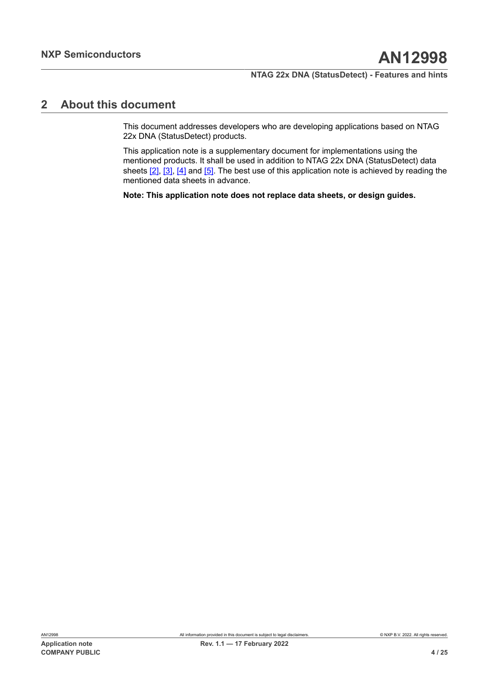## <span id="page-3-0"></span>**2 About this document**

This document addresses developers who are developing applications based on NTAG 22x DNA (StatusDetect) products.

This application note is a supplementary document for implementations using the mentioned products. It shall be used in addition to NTAG 22x DNA (StatusDetect) data sheets  $[2]$ ,  $[3]$ ,  $[4]$  and  $[5]$ . The best use of this application note is achieved by reading the mentioned data sheets in advance.

**Note: This application note does not replace data sheets, or design guides.**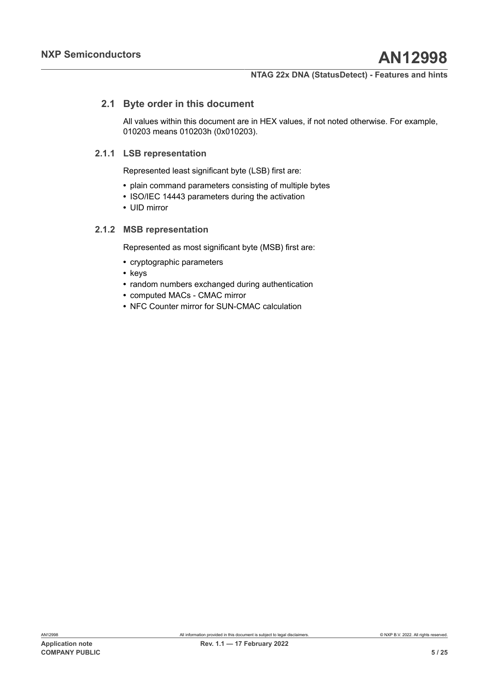## **2.1 Byte order in this document**

<span id="page-4-0"></span>All values within this document are in HEX values, if not noted otherwise. For example, 010203 means 010203h (0x010203).

## **2.1.1 LSB representation**

<span id="page-4-1"></span>Represented least significant byte (LSB) first are:

- **•** plain command parameters consisting of multiple bytes
- **•** ISO/IEC 14443 parameters during the activation
- **•** UID mirror

## **2.1.2 MSB representation**

<span id="page-4-2"></span>Represented as most significant byte (MSB) first are:

- **•** cryptographic parameters
- **•** keys
- **•** random numbers exchanged during authentication
- **•** computed MACs CMAC mirror
- **•** NFC Counter mirror for SUN-CMAC calculation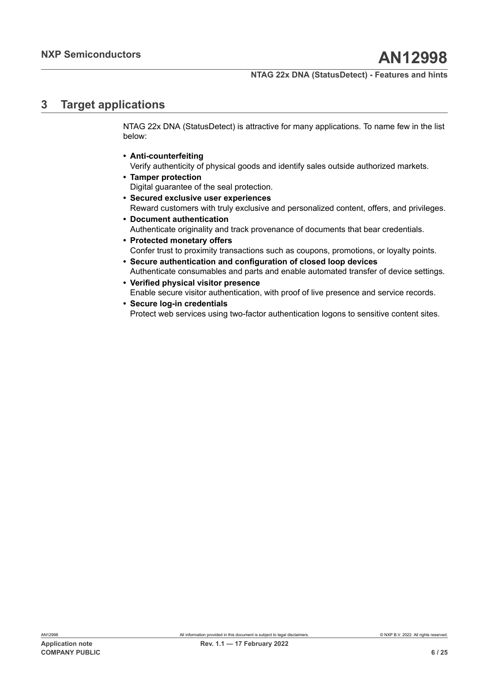## <span id="page-5-0"></span>**3 Target applications**

NTAG 22x DNA (StatusDetect) is attractive for many applications. To name few in the list below:

- **• Anti-counterfeiting**
- Verify authenticity of physical goods and identify sales outside authorized markets. **• Tamper protection**
- Digital guarantee of the seal protection.
- **• Secured exclusive user experiences** Reward customers with truly exclusive and personalized content, offers, and privileges.
- **• Document authentication** Authenticate originality and track provenance of documents that bear credentials.
- **• Protected monetary offers** Confer trust to proximity transactions such as coupons, promotions, or loyalty points.
- **• Secure authentication and configuration of closed loop devices** Authenticate consumables and parts and enable automated transfer of device settings.
- **• Verified physical visitor presence** Enable secure visitor authentication, with proof of live presence and service records.
- **• Secure log-in credentials** Protect web services using two-factor authentication logons to sensitive content sites.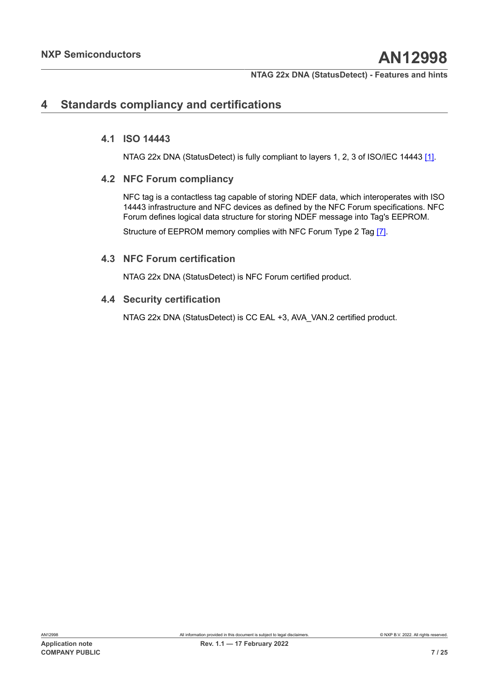## <span id="page-6-0"></span>**4 Standards compliancy and certifications**

### **4.1 ISO 14443**

<span id="page-6-2"></span><span id="page-6-1"></span>NTAG 22x DNA (StatusDetect) is fully compliant to layers 1, 2, 3 of ISO/IEC 14443 [\[1\]](#page-20-4).

#### **4.2 NFC Forum compliancy**

NFC tag is a contactless tag capable of storing NDEF data, which interoperates with ISO 14443 infrastructure and NFC devices as defined by the NFC Forum specifications. NFC Forum defines logical data structure for storing NDEF message into Tag's EEPROM.

Structure of EEPROM memory complies with NFC Forum Type 2 Tag [\[7\].](#page-20-5)

#### **4.3 NFC Forum certification**

<span id="page-6-4"></span><span id="page-6-3"></span>NTAG 22x DNA (StatusDetect) is NFC Forum certified product.

#### **4.4 Security certification**

NTAG 22x DNA (StatusDetect) is CC EAL +3, AVA\_VAN.2 certified product.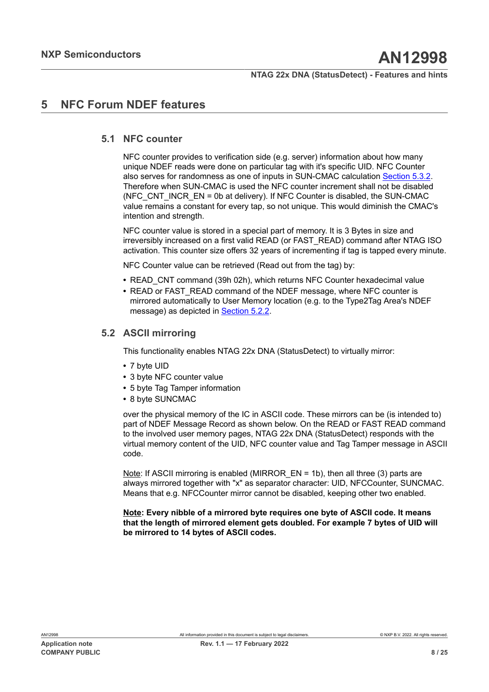## <span id="page-7-0"></span>**5 NFC Forum NDEF features**

### **5.1 NFC counter**

<span id="page-7-1"></span>NFC counter provides to verification side (e.g. server) information about how many unique NDEF reads were done on particular tag with it's specific UID. NFC Counter also serves for randomness as one of inputs in SUN-CMAC calculation [Section 5.3.2](#page-13-0). Therefore when SUN-CMAC is used the NFC counter increment shall not be disabled (NFC, CNT, INCR,  $EN = 0b$  at delivery). If NFC Counter is disabled, the SUN-CMAC value remains a constant for every tap, so not unique. This would diminish the CMAC's intention and strength.

NFC counter value is stored in a special part of memory. It is 3 Bytes in size and irreversibly increased on a first valid READ (or FAST\_READ) command after NTAG ISO activation. This counter size offers 32 years of incrementing if tag is tapped every minute.

NFC Counter value can be retrieved (Read out from the tag) by:

- **•** READ\_CNT command (39h 02h), which returns NFC Counter hexadecimal value
- READ or FAST\_READ command of the NDEF message, where NFC counter is mirrored automatically to User Memory location (e.g. to the Type2Tag Area's NDEF message) as depicted in [Section 5.2.2.](#page-9-0)

### **5.2 ASCII mirroring**

<span id="page-7-2"></span>This functionality enables NTAG 22x DNA (StatusDetect) to virtually mirror:

- **•** 7 byte UID
- **•** 3 byte NFC counter value
- **•** 5 byte Tag Tamper information
- **•** 8 byte SUNCMAC

over the physical memory of the IC in ASCII code. These mirrors can be (is intended to) part of NDEF Message Record as shown below. On the READ or FAST READ command to the involved user memory pages, NTAG 22x DNA (StatusDetect) responds with the virtual memory content of the UID, NFC counter value and Tag Tamper message in ASCII code.

Note: If ASCII mirroring is enabled (MIRROR EN = 1b), then all three (3) parts are always mirrored together with "x" as separator character: UID, NFCCounter, SUNCMAC. Means that e.g. NFCCounter mirror cannot be disabled, keeping other two enabled.

**Note: Every nibble of a mirrored byte requires one byte of ASCII code. It means that the length of mirrored element gets doubled. For example 7 bytes of UID will be mirrored to 14 bytes of ASCII codes.**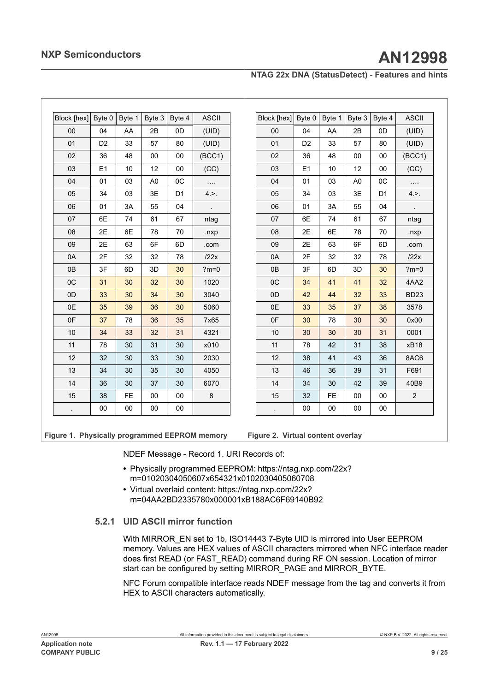|  | NTAG 22x DNA (StatusDetect) - Features and hints |  |  |
|--|--------------------------------------------------|--|--|
|--|--------------------------------------------------|--|--|

<span id="page-8-0"></span>

| Block [hex] | Byte 0         | Byte 1 | Byte 3         | Byte 4 | <b>ASCII</b> |
|-------------|----------------|--------|----------------|--------|--------------|
| 00          | 04             | AA     | 2B             | 0D     | (UID)        |
| 01          | D <sub>2</sub> | 33     | 57             | 80     | (UID)        |
| 02          | 36             | 48     | 00             | 00     | (BCC1)       |
| 03          | E1             | 10     | 12             | 00     | (CC)         |
| 04          | 01             | 03     | A <sub>0</sub> | 0C     |              |
| 05          | 34             | 03     | 3E             | D1     | 4.           |
| 06          | 01             | 3A     | 55             | 04     |              |
| 07          | 6E             | 74     | 61             | 67     | ntag         |
| 08          | 2E             | 6E     | 78             | 70     | .nxp         |
| 09          | 2E             | 63     | 6F             | 6D     | .com         |
| 0A          | 2F             | 32     | 32             | 78     | /22x         |
| 0B          | 3F             | 6D     | 3D             | 30     | $2m = 0$     |
| 0C          | 31             | 30     | 32             | 30     | 1020         |
| 0D          | 33             | 30     | 34             | 30     | 3040         |
| 0E          | 35             | 39     | 36             | 30     | 5060         |
| 0F          | 37             | 78     | 36             | 35     | 7x65         |
| 10          | 34             | 33     | 32             | 31     | 4321         |
| 11          | 78             | 30     | 31             | 30     | x010         |
| 12          | 32             | 30     | 33             | 30     | 2030         |
| 13          | 34             | 30     | 35             | 30     | 4050         |
| 14          | 36             | 30     | 37             | 30     | 6070         |
| 15          | 38             | FE     | 00             | 00     | 8            |
|             | 00             | 00     | 00             | 00     |              |

<span id="page-8-1"></span>

| Block [hex] | Byte 0         | Byte 1 | Byte 3         | Byte 4         | <b>ASCII</b>   |
|-------------|----------------|--------|----------------|----------------|----------------|
| 00          | 04             | AA     | 2B             | 0D             | (UID)          |
| 01          | D <sub>2</sub> | 33     | 57             | 80             | (UID)          |
| 02          | 36             | 48     | 00             | 00             | (BCC1)         |
| 03          | E <sub>1</sub> | 10     | 12             | 00             | (CC)           |
| 04          | 01             | 03     | A <sub>0</sub> | 0C             |                |
| 05          | 34             | 03     | 3E             | D <sub>1</sub> | 4.             |
| 06          | 01             | 3A     | 55             | 04             |                |
| 07          | 6E             | 74     | 61             | 67             | ntag           |
| 08          | 2E             | 6E     | 78             | 70             | .nxp           |
| 09          | 2E             | 63     | 6F             | 6D             | .com           |
| 0A          | 2F             | 32     | 32             | 78             | 122x           |
| 0B          | 3F             | 6D     | 3D             | 30             | $?m=0$         |
| 0C          | 34             | 41     | 41             | 32             | 4AA2           |
| 0D          | 42             | 44     | 32             | 33             | <b>BD23</b>    |
| 0E          | 33             | 35     | 37             | 38             | 3578           |
| 0F          | 30             | 78     | 30             | 30             | 0x00           |
| 10          | 30             | 30     | 30             | 31             | 0001           |
| 11          | 78             | 42     | 31             | 38             | xB18           |
| 12          | 38             | 41     | 43             | 36             | 8AC6           |
| 13          | 46             | 36     | 39             | 31             | F691           |
| 14          | 34             | 30     | 42             | 39             | 40B9           |
| 15          | 32             | FE     | $00\,$         | 00             | $\overline{2}$ |
|             | 00             | 00     | 00             | 00             |                |

**Figure 1. Physically programmed EEPROM memory**

**Figure 2. Virtual content overlay**

NDEF Message - Record 1. URI Records of:

- **•** Physically programmed EEPROM: https://ntag.nxp.com/22x? m=01020304050607x654321x0102030405060708
- **•** Virtual overlaid content: https://ntag.nxp.com/22x? m=04AA2BD2335780x000001xB188AC6F69140B92

### **5.2.1 UID ASCII mirror function**

<span id="page-8-2"></span>With MIRROR EN set to 1b, ISO14443 7-Byte UID is mirrored into User EEPROM memory. Values are HEX values of ASCII characters mirrored when NFC interface reader does first READ (or FAST\_READ) command during RF ON session. Location of mirror start can be configured by setting MIRROR\_PAGE and MIRROR\_BYTE.

NFC Forum compatible interface reads NDEF message from the tag and converts it from HEX to ASCII characters automatically.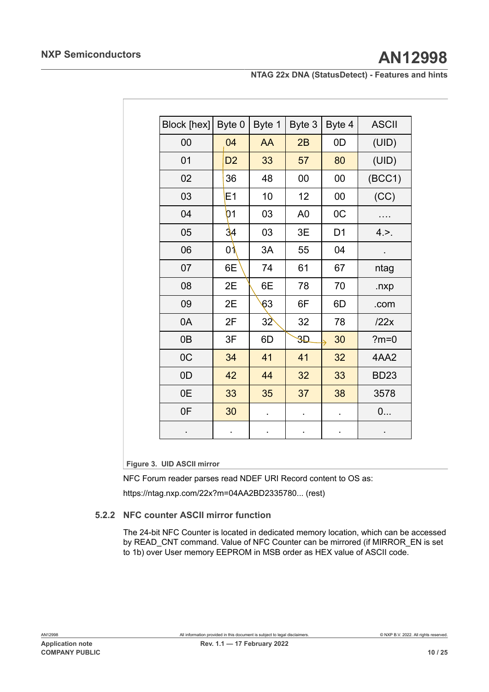<span id="page-9-1"></span>

| Block [hex]    | Byte 0         | Byte 1          | Byte 3                 | Byte 4         | <b>ASCII</b>   |
|----------------|----------------|-----------------|------------------------|----------------|----------------|
| 00             | 04             | AA              | 2B                     | 0D             | (UID)          |
| 01             | D <sub>2</sub> | 33              | 57                     | 80             | (UID)          |
| 02             | 36             | 48              | 00                     | $00\,$         | (BCC1)         |
| 03             | E1             | 10              | 12                     | $00\,$         | (CC)           |
| 04             | 01             | 03              | A <sub>0</sub>         | OC             |                |
| 05             | 34             | 03              | 3E                     | D <sub>1</sub> | 4.             |
| 06             | 01             | 3A              | 55                     | 04             | $\blacksquare$ |
| 07             | 6E             | 74              | 61                     | 67             | ntag           |
| 08             | 2E             | 6E              | 78                     | 70             | .nxp           |
| 09             | 2E             | 63              | 6F                     | 6D             | .com           |
| 0A             | 2F             | 32 <sup>o</sup> | 32                     | 78             | /22x           |
| 0 <sub>B</sub> | 3F             | 6D              | $\overline{\text{3D}}$ | 30             | $?m=0$         |
| OC             | 34             | 41              | 41                     | 32             | 4AA2           |
| 0D             | 42             | 44              | 32                     | 33             | <b>BD23</b>    |
| 0E             | 33             | 35              | 37                     | 38             | 3578           |
| 0F             | 30             |                 |                        |                | 0              |
|                |                |                 |                        |                |                |

**Figure 3. UID ASCII mirror**

NFC Forum reader parses read NDEF URI Record content to OS as:

<span id="page-9-0"></span>https://ntag.nxp.com/22x?m=04AA2BD2335780... (rest)

#### **5.2.2 NFC counter ASCII mirror function**

The 24-bit NFC Counter is located in dedicated memory location, which can be accessed by READ\_CNT command. Value of NFC Counter can be mirrored (if MIRROR\_EN is set to 1b) over User memory EEPROM in MSB order as HEX value of ASCII code.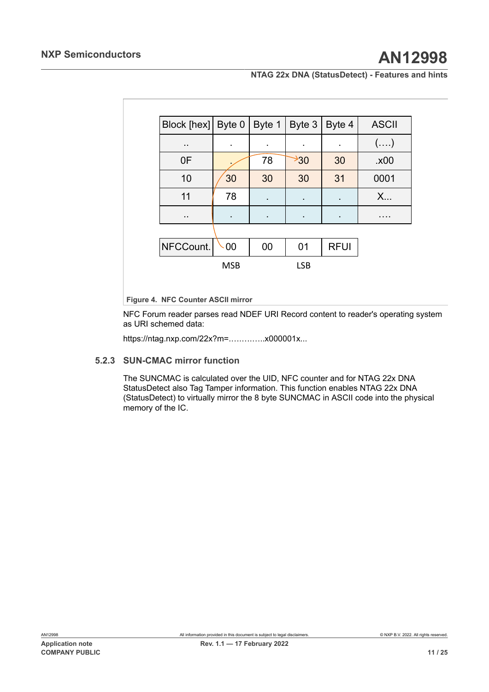<span id="page-10-0"></span>

| Block [hex]   Byte $0$ |            | Byte 1         | Byte 3           | Byte 4      | <b>ASCII</b> |
|------------------------|------------|----------------|------------------|-------------|--------------|
| $\ddot{\phantom{a}}$   |            | ٠              | ٠                |             | $(\ldots)$   |
| 0F                     |            | 78             | $\rightarrow 30$ | 30          | .x00         |
| 10                     | 30         | 30             | 30               | 31          | 0001         |
| 11                     | 78         | $\blacksquare$ | ٠                | ٠           | X            |
| $\ddot{\phantom{a}}$   |            | $\blacksquare$ | ٠                | ٠           | .            |
|                        |            |                |                  |             |              |
| NFCCount.              | 00         | 00             | 01               | <b>RFUI</b> |              |
|                        | <b>MSB</b> |                | <b>LSB</b>       |             |              |

**Figure 4. NFC Counter ASCII mirror**

NFC Forum reader parses read NDEF URI Record content to reader's operating system as URI schemed data:

<span id="page-10-1"></span>https://ntag.nxp.com/22x?m=.….….…..x000001x...

#### **5.2.3 SUN-CMAC mirror function**

The SUNCMAC is calculated over the UID, NFC counter and for NTAG 22x DNA StatusDetect also Tag Tamper information. This function enables NTAG 22x DNA (StatusDetect) to virtually mirror the 8 byte SUNCMAC in ASCII code into the physical memory of the IC.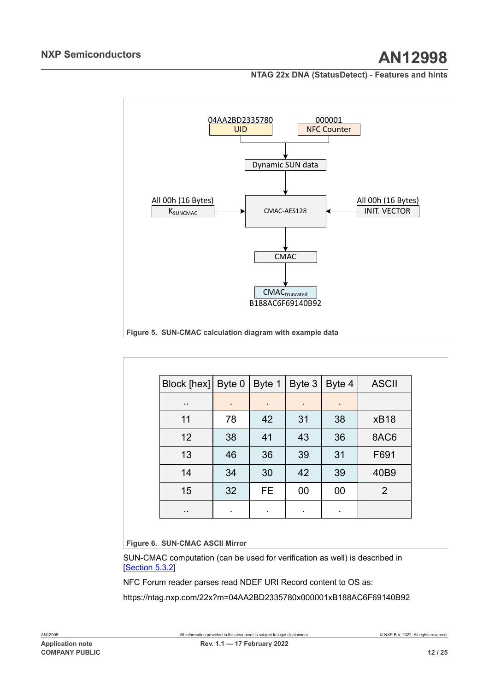<span id="page-11-0"></span>

<span id="page-11-1"></span>

| Block [hex] Byte 0 |    | Byte 1 $\vert$ | Byte 3 | Byte 4         | <b>ASCII</b> |
|--------------------|----|----------------|--------|----------------|--------------|
| $\cdot$ .          | ٠  | ٠              | ٠      | $\blacksquare$ |              |
| 11                 | 78 | 42             | 31     | 38             | <b>xB18</b>  |
| 12                 | 38 | 41             | 43     | 36             | 8AC6         |
| 13                 | 46 | 36             | 39     | 31             | F691         |
| 14                 | 34 | 30             | 42     | 39             | 40B9         |
| 15                 | 32 | FE.            | 00     | 00             | 2            |
| $\cdot$ .          | ٠  | ٠              | ٠      | $\bullet$      |              |

**Figure 6. SUN-CMAC ASCII Mirror**

SUN-CMAC computation (can be used for verification as well) is described in [[Section 5.3.2](#page-13-0)]

NFC Forum reader parses read NDEF URI Record content to OS as:

https://ntag.nxp.com/22x?m=04AA2BD2335780x000001xB188AC6F69140B92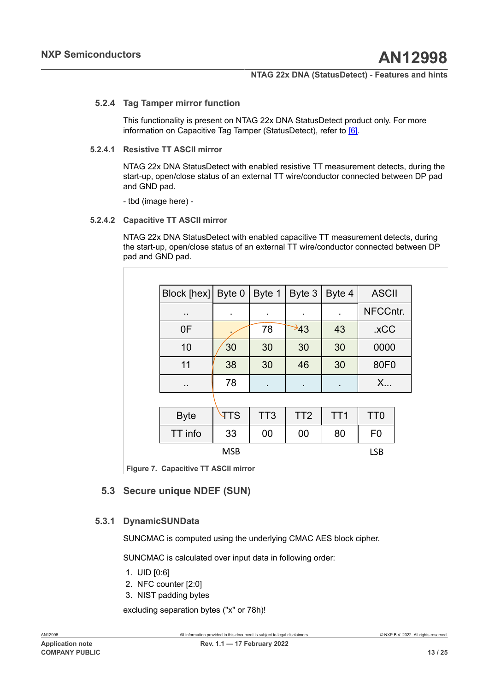#### **5.2.4 Tag Tamper mirror function**

<span id="page-12-1"></span>This functionality is present on NTAG 22x DNA StatusDetect product only. For more information on Capacitive Tag Tamper (StatusDetect), refer to [\[6\]](#page-20-6).

#### **5.2.4.1 Resistive TT ASCII mirror**

<span id="page-12-2"></span>NTAG 22x DNA StatusDetect with enabled resistive TT measurement detects, during the start-up, open/close status of an external TT wire/conductor connected between DP pad and GND pad.

<span id="page-12-3"></span>- tbd (image here) -

#### **5.2.4.2 Capacitive TT ASCII mirror**

NTAG 22x DNA StatusDetect with enabled capacitive TT measurement detects, during the start-up, open/close status of an external TT wire/conductor connected between DP pad and GND pad.

<span id="page-12-0"></span>

| Block [hex]          | Byte 0     | Byte 1          | Byte 3          | Byte 4          | <b>ASCII</b>    |
|----------------------|------------|-----------------|-----------------|-----------------|-----------------|
| $\ddot{\phantom{a}}$ |            | $\blacksquare$  |                 |                 | NFCCntr.        |
| 0F                   |            | 78              | ≯43             | 43              | .xCC            |
| 10                   | 30         | 30              | 30              | 30              | 0000            |
| 11                   | 38         | 30              | 46              | 30              | 80F0            |
| $\blacksquare$       | 78         | $\blacksquare$  |                 |                 | X               |
|                      |            |                 |                 |                 |                 |
| <b>Byte</b>          | <b>TTS</b> | TT <sub>3</sub> | TT <sub>2</sub> | TT <sub>1</sub> | TT <sub>0</sub> |
| TT info              | 33         | 00              | 00              | 80              | F <sub>0</sub>  |
|                      | <b>MSB</b> |                 |                 |                 | <b>LSB</b>      |

<span id="page-12-4"></span>**Figure 7. Capacitive TT ASCII mirror**

## **5.3 Secure unique NDEF (SUN)**

### **5.3.1 DynamicSUNData**

<span id="page-12-5"></span>SUNCMAC is computed using the underlying CMAC AES block cipher.

SUNCMAC is calculated over input data in following order:

- 1. UID [0:6]
- 2. NFC counter [2:0]
- 3. NIST padding bytes

excluding separation bytes ("x" or 78h)!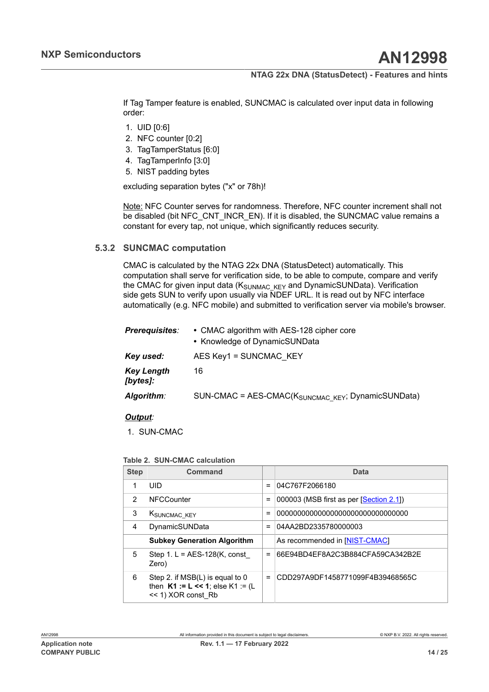If Tag Tamper feature is enabled, SUNCMAC is calculated over input data in following order:

- 1. UID [0:6]
- 2. NFC counter [0:2]
- 3. TagTamperStatus [6:0]
- 4. TagTamperInfo [3:0]
- 5. NIST padding bytes

excluding separation bytes ("x" or 78h)!

Note: NFC Counter serves for randomness. Therefore, NFC counter increment shall not be disabled (bit NFC\_CNT\_INCR\_EN). If it is disabled, the SUNCMAC value remains a constant for every tap, not unique, which significantly reduces security.

### **5.3.2 SUNCMAC computation**

<span id="page-13-0"></span>CMAC is calculated by the NTAG 22x DNA (StatusDetect) automatically. This computation shall serve for verification side, to be able to compute, compare and verify the CMAC for given input data  $(K_{SIMMACKFY}$  and DynamicSUNData). Verification side gets SUN to verify upon usually via NDEF URL. It is read out by NFC interface automatically (e.g. NFC mobile) and submitted to verification server via mobile's browser.

| <b>Prerequisites:</b>         | • CMAC algorithm with AES-128 cipher core<br>• Knowledge of DynamicSUNData |
|-------------------------------|----------------------------------------------------------------------------|
| Key used:                     | AES Key1 = SUNCMAC KEY                                                     |
| <b>Key Length</b><br>[bytes]: | 16                                                                         |
| Algorithm:                    | SUN-CMAC = AES-CMAC(K <sub>SUNCMAC KEY</sub> ; DynamicSUNData)             |

#### *Output:*

1. SUN-CMAC

#### <span id="page-13-1"></span>**Table 2. SUN-CMAC calculation**

| <b>Step</b> | Command                                                                                          |          | Data                                    |
|-------------|--------------------------------------------------------------------------------------------------|----------|-----------------------------------------|
| 1           | UID                                                                                              | $=$      | 04C767F2066180                          |
| 2           | <b>NFCCounter</b>                                                                                | $\equiv$ | 000003 (MSB first as per [Section 2.1]) |
| 3           | KSUNCMAC KEY                                                                                     | $=$      |                                         |
| 4           | DynamicSUNData                                                                                   | $=$      | 04AA2BD2335780000003                    |
|             | <b>Subkey Generation Algorithm</b>                                                               |          | As recommended in [NIST-CMAC]           |
| 5           | Step 1. $L = AES-128(K, const)$<br>Zero)                                                         | $=$      | 66E94BD4EF8A2C3B884CFA59CA342B2E        |
| 6           | Step 2. if MSB(L) is equal to 0<br>then $K1 := L \ll 1$ ; else $K1 := (L)$<br><< 1) XOR const Rb | $=$      | CDD297A9DF1458771099F4B39468565C        |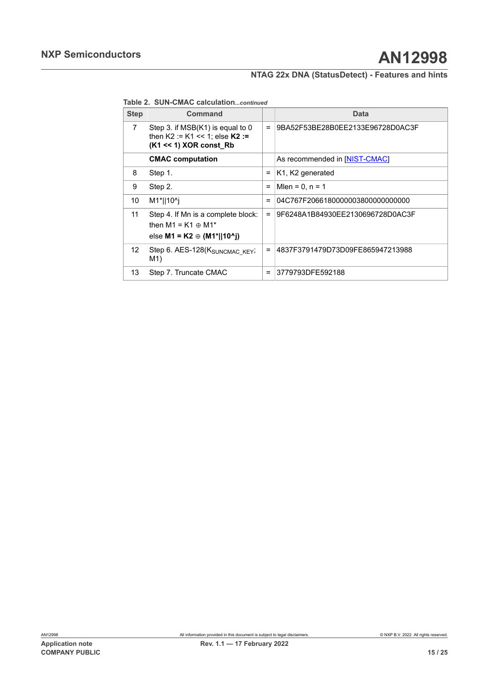**Table 2. SUN-CMAC calculation***...continued*

| <b>Step</b>    | Command                                                                                               |          | Data                                      |
|----------------|-------------------------------------------------------------------------------------------------------|----------|-------------------------------------------|
| $\overline{7}$ | Step 3. if MSB(K1) is equal to 0<br>then $K2 := K1 \le 1$ : else $K2 :=$<br>$(K1 \ll 1)$ XOR const Rb | $=$      | 9BA52F53BE28B0EE2133E96728D0AC3F          |
|                | <b>CMAC</b> computation                                                                               |          | As recommended in [NIST-CMAC]             |
| 8              | Step 1.                                                                                               | Ξ        | K <sub>1</sub> , K <sub>2</sub> generated |
| 9              | Step 2.                                                                                               | $=$      | Mlen = $0, n = 1$                         |
| 10             | M1*  10^j                                                                                             | $=$      | 04C767F2066180000003800000000000          |
| 11             | Step 4. If Mn is a complete block:<br>then $M1 = K1 \oplus M1^*$<br>else M1 = K2 $\oplus$ (M1*  10^j) | $\equiv$ | 9F6248A1B84930EE2130696728D0AC3F          |
| 12             | Step 6. AES-128(KSUNCMAC KEY;<br>M1)                                                                  | $\equiv$ | 4837F3791479D73D09FE865947213988          |
| 13             | Step 7. Truncate CMAC                                                                                 | $=$      | 3779793DFE592188                          |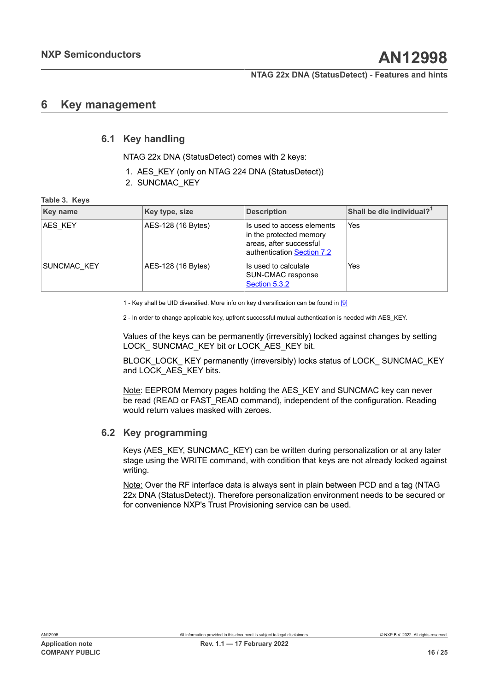## <span id="page-15-1"></span>**6 Key management**

## **6.1 Key handling**

<span id="page-15-2"></span>NTAG 22x DNA (StatusDetect) comes with 2 keys:

- 1. AES KEY (only on NTAG 224 DNA (StatusDetect))
- <span id="page-15-0"></span>2. SUNCMAC\_KEY

#### **Table 3. Keys**

| <b>Key name</b> | Key type, size     | <b>Description</b>                                                                                             | Shall be die individual? <sup>1</sup> |
|-----------------|--------------------|----------------------------------------------------------------------------------------------------------------|---------------------------------------|
| AES KEY         | AES-128 (16 Bytes) | Is used to access elements<br>in the protected memory<br>areas, after successful<br>authentication Section 7.2 | Yes                                   |
| SUNCMAC KEY     | AES-128 (16 Bytes) | Is used to calculate<br>SUN-CMAC response<br>Section 5.3.2                                                     | Yes                                   |

1 - Key shall be UID diversified. More info on key diversification can be found in [\[9\]](#page-20-8)

2 - In order to change applicable key, upfront successful mutual authentication is needed with AES\_KEY.

Values of the keys can be permanently (irreversibly) locked against changes by setting LOCK SUNCMAC KEY bit or LOCK AES KEY bit.

BLOCK\_LOCK\_ KEY permanently (irreversibly) locks status of LOCK\_ SUNCMAC\_KEY and LOCK AES KEY bits.

Note: EEPROM Memory pages holding the AES\_KEY and SUNCMAC key can never be read (READ or FAST\_READ command), independent of the configuration. Reading would return values masked with zeroes.

#### **6.2 Key programming**

<span id="page-15-3"></span>Keys (AES\_KEY, SUNCMAC\_KEY) can be written during personalization or at any later stage using the WRITE command, with condition that keys are not already locked against writing.

Note: Over the RF interface data is always sent in plain between PCD and a tag (NTAG 22x DNA (StatusDetect)). Therefore personalization environment needs to be secured or for convenience NXP's Trust Provisioning service can be used.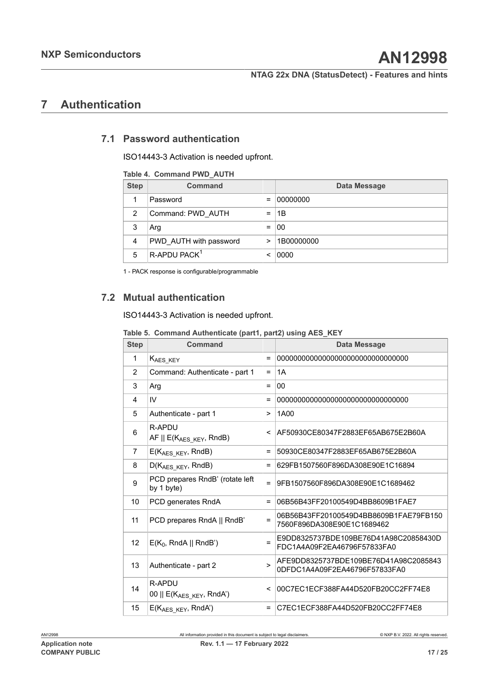## <span id="page-16-3"></span>**7 Authentication**

## **7.1 Password authentication**

<span id="page-16-4"></span>ISO14443-3 Activation is needed upfront.

#### <span id="page-16-1"></span>**Table 4. Command PWD\_AUTH**

| <b>Step</b> | <b>Command</b>           |     | <b>Data Message</b> |
|-------------|--------------------------|-----|---------------------|
|             | Password                 | $=$ | 00000000            |
| 2           | Command: PWD AUTH        | =   | 1B                  |
| 3           | Arg                      | $=$ | 00                  |
| 4           | PWD AUTH with password   | >   | 1B00000000          |
| 5           | R-APDU PACK <sup>1</sup> | <   | 0000                |

<span id="page-16-0"></span>1 - PACK response is configurable/programmable

## **7.2 Mutual authentication**

ISO14443-3 Activation is needed upfront.

<span id="page-16-2"></span>**Table 5. Command Authenticate (part1, part2) using AES\_KEY**

| <b>Step</b>    | Command                                                 |        | <b>Data Message</b>                                                    |
|----------------|---------------------------------------------------------|--------|------------------------------------------------------------------------|
| 1              | K <sub>AES_KEY</sub>                                    | $=$    |                                                                        |
| $\overline{2}$ | Command: Authenticate - part 1                          | $=$    | 1A                                                                     |
| 3              | Arg                                                     | Ξ      | 00                                                                     |
| 4              | IV                                                      | Ξ      |                                                                        |
| 5              | Authenticate - part 1                                   | $\geq$ | 1A00                                                                   |
| 6              | R-APDU<br>AF $\parallel$ E(K <sub>AES KEY</sub> , RndB) | <      | AF50930CE80347F2883EF65AB675E2B60A                                     |
| 7              | $E(K_{\text{AES } K E Y}, RndB)$                        | Ξ      | 50930CE80347F2883EF65AB675E2B60A                                       |
| 8              | $D(K_{AES KEY}, RndB)$                                  | Ξ      | 629FB1507560F896DA308E90E1C16894                                       |
| 9              | PCD prepares RndB' (rotate left<br>by 1 byte)           | Ξ      | 9FB1507560F896DA308E90E1C1689462                                       |
| 10             | PCD generates RndA                                      | Ξ      | 06B56B43FF20100549D4BB8609B1FAE7                                       |
| 11             | PCD prepares RndA    RndB'                              | $=$    | 06B56B43FF20100549D4BB8609B1FAE79FB150<br>7560F896DA308E90E1C1689462   |
| 12             | $E(K_0, RndA    RndB')$                                 | $=$    | E9DD8325737BDE109BE76D41A98C20858430D<br>FDC1A4A09F2EA46796F57833FA0   |
| 13             | Authenticate - part 2                                   | $\geq$ | AFE9DD8325737BDE109BE76D41A98C2085843<br>0DFDC1A4A09F2EA46796F57833FA0 |
| 14             | R-APDU<br>00    $E(K_{AES KEY}, RndA')$                 | <      | 00C7EC1ECF388FA44D520FB20CC2FF74E8                                     |
| 15             | E(KAES KEY, RndA')                                      | Ξ      | C7EC1ECF388FA44D520FB20CC2FF74E8                                       |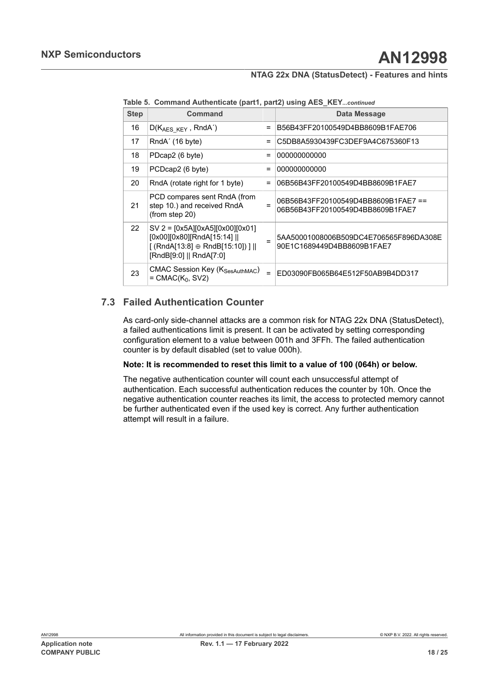**Table 5. Command Authenticate (part1, part2) using AES\_KEY***...continued*

| <b>Step</b> | Command                                                                                                                              |          | Data Message                                                           |
|-------------|--------------------------------------------------------------------------------------------------------------------------------------|----------|------------------------------------------------------------------------|
| 16          | $D(K_{AES KEY}, RndA')$                                                                                                              | $=$      | B56B43FF20100549D4BB8609B1FAE706                                       |
| 17          | RndA' (16 byte)                                                                                                                      | $=$      | C5DB8A5930439FC3DEF9A4C675360F13                                       |
| 18          | PDcap2 (6 byte)                                                                                                                      | $\equiv$ | 000000000000                                                           |
| 19          | PCDcap2 (6 byte)                                                                                                                     | $=$      | 000000000000                                                           |
| 20          | RndA (rotate right for 1 byte)                                                                                                       | $=$      | 06B56B43FF20100549D4BB8609B1FAE7                                       |
| 21          | PCD compares sent RndA (from<br>step 10.) and received RndA<br>(from step 20)                                                        | $=$      | 06B56B43FF20100549D4BB8609B1FAE7==<br>06B56B43FF20100549D4BB8609B1FAE7 |
| 22          | $SV$ 2 = $[0x5A][0xA5][0x00][0x01]$<br>[0x00][0x80][RndA[15:14]   <br>$[(RndA[13:8] \oplus RndB[15:10])]$<br>[RndB[9:0]    RndA[7:0] |          | 5AA50001008006B509DC4E706565F896DA308E<br>90E1C1689449D4BB8609B1FAE7   |
| 23          | <b>CMAC Session Key (KSesAuthMAC)</b><br>$=$ CMAC( $K_0$ , SV2)                                                                      | $=$      | ED03090FB065B64E512F50AB9B4DD317                                       |

## **7.3 Failed Authentication Counter**

<span id="page-17-0"></span>As card-only side-channel attacks are a common risk for NTAG 22x DNA (StatusDetect), a failed authentications limit is present. It can be activated by setting corresponding configuration element to a value between 001h and 3FFh. The failed authentication counter is by default disabled (set to value 000h).

#### **Note: It is recommended to reset this limit to a value of 100 (064h) or below.**

The negative authentication counter will count each unsuccessful attempt of authentication. Each successful authentication reduces the counter by 10h. Once the negative authentication counter reaches its limit, the access to protected memory cannot be further authenticated even if the used key is correct. Any further authentication attempt will result in a failure.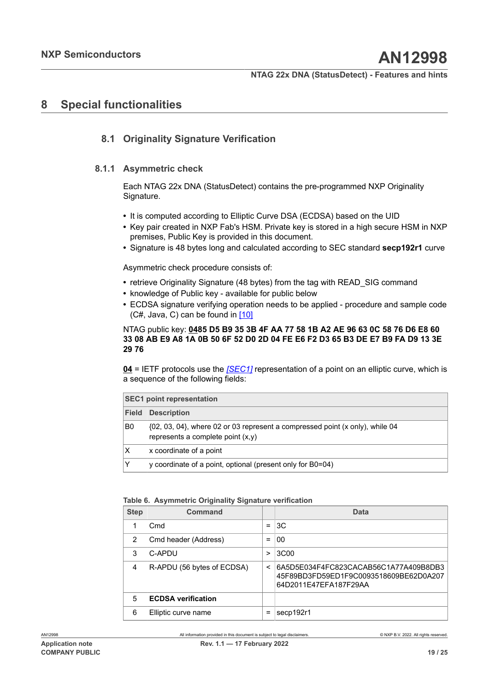## <span id="page-18-1"></span>**8 Special functionalities**

## <span id="page-18-2"></span>**8.1 Originality Signature Verification**

#### **8.1.1 Asymmetric check**

<span id="page-18-3"></span>Each NTAG 22x DNA (StatusDetect) contains the pre-programmed NXP Originality Signature.

- **•** It is computed according to Elliptic Curve DSA (ECDSA) based on the UID
- **•** Key pair created in NXP Fab's HSM. Private key is stored in a high secure HSM in NXP premises, Public Key is provided in this document.
- **•** Signature is 48 bytes long and calculated according to SEC standard **secp192r1** curve

Asymmetric check procedure consists of:

- **•** retrieve Originality Signature (48 bytes) from the tag with READ\_SIG command
- **•** knowledge of Public key available for public below
- **•** ECDSA signature verifying operation needs to be applied procedure and sample code  $(C#, Java, C)$  can be found in  $[10]$

#### NTAG public key: **0485 D5 B9 35 3B 4F AA 77 58 1B A2 AE 96 63 0C 58 76 D6 E8 60** 33 08 AB E9 A8 1A 0B 50 6F 52 D0 2D 04 FE E6 F2 D3 65 B3 DE E7 B9 FA D9 13 3E **29 76**

**04** = IETF protocols use the *[\[SEC1\]](https://tools.ietf.org/id/draft-jivsov-ecc-compact-00.xml#SEC1)* representation of a point on an elliptic curve, which is a sequence of the following fields:

| <b>SEC1 point representation</b> |                                                                                                                          |  |  |  |
|----------------------------------|--------------------------------------------------------------------------------------------------------------------------|--|--|--|
| <b>Field</b>                     | <b>Description</b>                                                                                                       |  |  |  |
| B <sub>0</sub>                   | $\{02, 03, 04\}$ , where 02 or 03 represent a compressed point (x only), while 04<br>represents a complete point $(x,y)$ |  |  |  |
| X                                | x coordinate of a point                                                                                                  |  |  |  |
|                                  | y coordinate of a point, optional (present only for B0=04)                                                               |  |  |  |

#### <span id="page-18-0"></span>**Table 6. Asymmetric Originality Signature verification**

| <b>Step</b> | Command                    |         | Data                                                                                                     |
|-------------|----------------------------|---------|----------------------------------------------------------------------------------------------------------|
| 1           | C <sub>md</sub>            | =       | 3C                                                                                                       |
| 2           | Cmd header (Address)       | =       | 00                                                                                                       |
| 3           | C-APDU                     | >       | 3C <sub>00</sub>                                                                                         |
| 4           | R-APDU (56 bytes of ECDSA) | $\,<\,$ | 6A5D5E034F4FC823CACAB56C1A77A409B8DB3<br>45F89BD3FD59ED1F9C0093518609BE62D0A207<br>64D2011E47EFA187F29AA |
| 5           | <b>ECDSA verification</b>  |         |                                                                                                          |
| 6           | Elliptic curve name        | =       | secp192r1                                                                                                |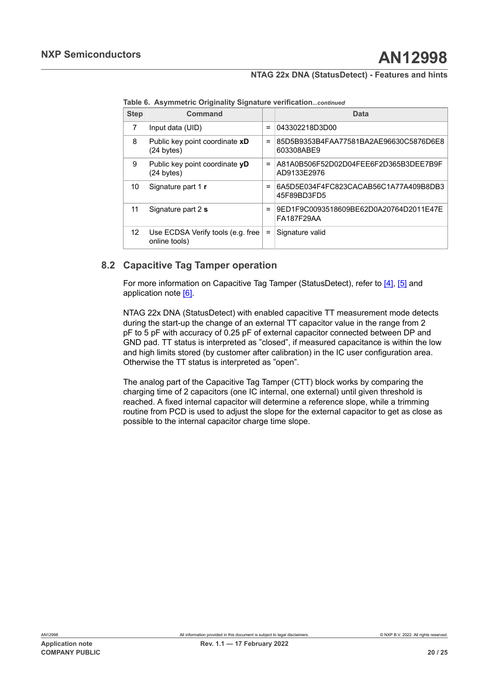| <b>Step</b> | Command                                            |          | <b>Data</b>                                                 |
|-------------|----------------------------------------------------|----------|-------------------------------------------------------------|
| 7           | Input data (UID)                                   | $=$      | 043302218D3D00                                              |
| 8           | Public key point coordinate xD<br>(24 bytes)       | $=$      | 85D5B9353B4FAA77581BA2AE96630C5876D6E8<br>603308ABE9        |
| 9           | Public key point coordinate yD<br>(24 bytes)       | $=$      | A81A0B506F52D02D04FEE6F2D365B3DEE7B9F<br>AD9133E2976        |
| 10          | Signature part 1 r                                 | $=$      | 6A5D5E034F4FC823CACAB56C1A77A409B8DB3<br>45F89BD3FD5        |
| 11          | Signature part 2 s                                 | $=$      | 9ED1F9C0093518609BE62D0A20764D2011E47E<br><b>FA187F29AA</b> |
| 12          | Use ECDSA Verify tools (e.g. free<br>online tools) | $\equiv$ | Signature valid                                             |

**Table 6. Asymmetric Originality Signature verification***...continued*

## **8.2 Capacitive Tag Tamper operation**

<span id="page-19-0"></span>For more information on Capacitive Tag Tamper (StatusDetect), refer to [\[4\],](#page-20-2) [\[5\]](#page-20-3) and application note [\[6\].](#page-20-6)

NTAG 22x DNA (StatusDetect) with enabled capacitive TT measurement mode detects during the start-up the change of an external TT capacitor value in the range from 2 pF to 5 pF with accuracy of 0.25 pF of external capacitor connected between DP and GND pad. TT status is interpreted as "closed", if measured capacitance is within the low and high limits stored (by customer after calibration) in the IC user configuration area. Otherwise the TT status is interpreted as "open".

The analog part of the Capacitive Tag Tamper (CTT) block works by comparing the charging time of 2 capacitors (one IC internal, one external) until given threshold is reached. A fixed internal capacitor will determine a reference slope, while a trimming routine from PCD is used to adjust the slope for the external capacitor to get as close as possible to the internal capacitor charge time slope.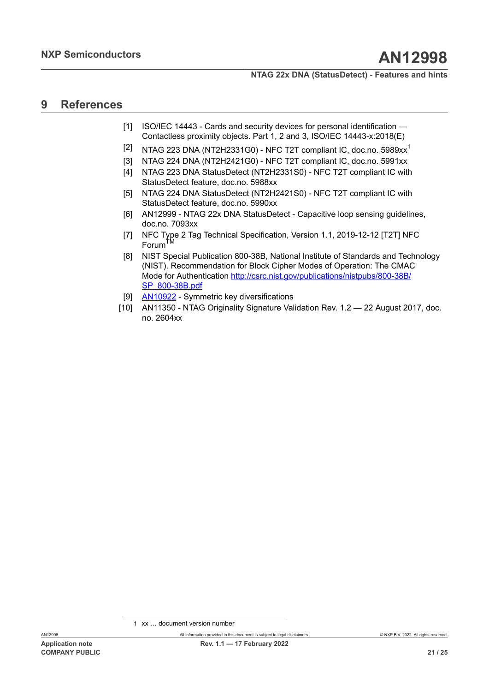## <span id="page-20-11"></span>**9 References**

- <span id="page-20-4"></span>[1] ISO/IEC 14443 - Cards and security devices for personal identification -Contactless proximity objects. Part 1, 2 and 3, ISO/IEC 14443-x:2018(E)
- <span id="page-20-0"></span> $\left[ 2\right]$   $\,$  NTAG 223 DNA (NT2H233[1](#page-20-10)G0) - NFC T2T compliant IC, doc.no. 5989xx $^{1}$
- <span id="page-20-1"></span>[3] NTAG 224 DNA (NT2H2421G0) - NFC T2T compliant IC, doc.no. 5991xx
- <span id="page-20-2"></span>[4] NTAG 223 DNA StatusDetect (NT2H2331S0) - NFC T2T compliant IC with StatusDetect feature, doc.no. 5988xx
- <span id="page-20-3"></span>[5] NTAG 224 DNA StatusDetect (NT2H2421S0) - NFC T2T compliant IC with StatusDetect feature, doc.no. 5990xx
- <span id="page-20-6"></span>[6] AN12999 - NTAG 22x DNA StatusDetect - Capacitive loop sensing guidelines, doc.no. 7093xx
- <span id="page-20-5"></span>[7] NFC Type 2 Tag Technical Specification, Version 1.1, 2019-12-12 [T2T] NFC Forum
- <span id="page-20-7"></span>[8] NIST Special Publication 800-38B, National Institute of Standards and Technology (NIST). Recommendation for Block Cipher Modes of Operation: The CMAC Mode for Authentication [http://csrc.nist.gov/publications/nistpubs/800-38B/](http://csrc.nist.gov/publications/nistpubs/800-38B/SP_800-38B.pdf) [SP\\_800-38B.pdf](http://csrc.nist.gov/publications/nistpubs/800-38B/SP_800-38B.pdf)
- <span id="page-20-8"></span>[9] [AN10922](https://www.nxp.com/docs/en/application-note/AN10922.pdf) - Symmetric key diversifications
- <span id="page-20-9"></span>[10] AN11350 - NTAG Originality Signature Validation Rev. 1.2 — 22 August 2017, doc. no. 2604xx

<span id="page-20-10"></span><sup>1</sup> xx … document version number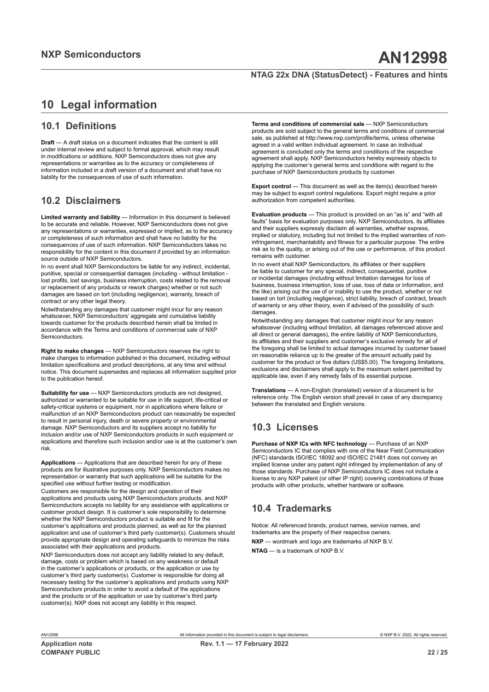## <span id="page-21-0"></span>**10 Legal information**

## **10.1 Definitions**

**Draft** — A draft status on a document indicates that the content is still under internal review and subject to formal approval, which may result in modifications or additions. NXP Semiconductors does not give any representations or warranties as to the accuracy or completeness of information included in a draft version of a document and shall have no liability for the consequences of use of such information.

## **10.2 Disclaimers**

**Limited warranty and liability** — Information in this document is believed to be accurate and reliable. However, NXP Semiconductors does not give any representations or warranties, expressed or implied, as to the accuracy or completeness of such information and shall have no liability for the consequences of use of such information. NXP Semiconductors takes no responsibility for the content in this document if provided by an information source outside of NXP Semiconductors.

In no event shall NXP Semiconductors be liable for any indirect, incidental, punitive, special or consequential damages (including - without limitation lost profits, lost savings, business interruption, costs related to the removal or replacement of any products or rework charges) whether or not such damages are based on tort (including negligence), warranty, breach of contract or any other legal theory.

Notwithstanding any damages that customer might incur for any reason whatsoever, NXP Semiconductors' aggregate and cumulative liability towards customer for the products described herein shall be limited in accordance with the Terms and conditions of commercial sale of NXP **Semiconductors** 

**Right to make changes** — NXP Semiconductors reserves the right to make changes to information published in this document, including without limitation specifications and product descriptions, at any time and without notice. This document supersedes and replaces all information supplied prior to the publication hereof.

**Suitability for use** — NXP Semiconductors products are not designed. authorized or warranted to be suitable for use in life support, life-critical or safety-critical systems or equipment, nor in applications where failure or malfunction of an NXP Semiconductors product can reasonably be expected to result in personal injury, death or severe property or environmental damage. NXP Semiconductors and its suppliers accept no liability for inclusion and/or use of NXP Semiconductors products in such equipment or applications and therefore such inclusion and/or use is at the customer's own risk.

**Applications** — Applications that are described herein for any of these products are for illustrative purposes only. NXP Semiconductors makes no representation or warranty that such applications will be suitable for the specified use without further testing or modification.

Customers are responsible for the design and operation of their applications and products using NXP Semiconductors products, and NXP Semiconductors accepts no liability for any assistance with applications or customer product design. It is customer's sole responsibility to determine whether the NXP Semiconductors product is suitable and fit for the customer's applications and products planned, as well as for the planned application and use of customer's third party customer(s). Customers should provide appropriate design and operating safeguards to minimize the risks associated with their applications and products.

NXP Semiconductors does not accept any liability related to any default, damage, costs or problem which is based on any weakness or default in the customer's applications or products, or the application or use by customer's third party customer(s). Customer is responsible for doing all necessary testing for the customer's applications and products using NXP Semiconductors products in order to avoid a default of the applications and the products or of the application or use by customer's third party customer(s). NXP does not accept any liability in this respect.

**Terms and conditions of commercial sale** — NXP Semiconductors products are sold subject to the general terms and conditions of commercial sale, as published at http://www.nxp.com/profile/terms, unless otherwise agreed in a valid written individual agreement. In case an individual agreement is concluded only the terms and conditions of the respective agreement shall apply. NXP Semiconductors hereby expressly objects to applying the customer's general terms and conditions with regard to the purchase of NXP Semiconductors products by customer.

**Export control** — This document as well as the item(s) described herein may be subject to export control regulations. Export might require a prior authorization from competent authorities.

**Evaluation products** — This product is provided on an "as is" and "with all faults" basis for evaluation purposes only. NXP Semiconductors, its affiliates and their suppliers expressly disclaim all warranties, whether express, implied or statutory, including but not limited to the implied warranties of noninfringement, merchantability and fitness for a particular purpose. The entire risk as to the quality, or arising out of the use or performance, of this product remains with customer.

In no event shall NXP Semiconductors, its affiliates or their suppliers be liable to customer for any special, indirect, consequential, punitive or incidental damages (including without limitation damages for loss of business, business interruption, loss of use, loss of data or information, and the like) arising out the use of or inability to use the product, whether or not based on tort (including negligence), strict liability, breach of contract, breach of warranty or any other theory, even if advised of the possibility of such damages.

Notwithstanding any damages that customer might incur for any reason whatsoever (including without limitation, all damages referenced above and all direct or general damages), the entire liability of NXP Semiconductors, its affiliates and their suppliers and customer's exclusive remedy for all of the foregoing shall be limited to actual damages incurred by customer based on reasonable reliance up to the greater of the amount actually paid by customer for the product or five dollars (US\$5.00). The foregoing limitations, exclusions and disclaimers shall apply to the maximum extent permitted by applicable law, even if any remedy fails of its essential purpose.

**Translations** — A non-English (translated) version of a document is for reference only. The English version shall prevail in case of any discrepancy between the translated and English versions.

## **10.3 Licenses**

**Purchase of NXP ICs with NFC technology** — Purchase of an NXP Semiconductors IC that complies with one of the Near Field Communication (NFC) standards ISO/IEC 18092 and ISO/IEC 21481 does not convey an implied license under any patent right infringed by implementation of any of those standards. Purchase of NXP Semiconductors IC does not include a license to any NXP patent (or other IP right) covering combinations of those products with other products, whether hardware or software.

## **10.4 Trademarks**

Notice: All referenced brands, product names, service names, and trademarks are the property of their respective owners.

**NXP** — wordmark and logo are trademarks of NXP B.V.

**NTAG** — is a trademark of NXP B.V.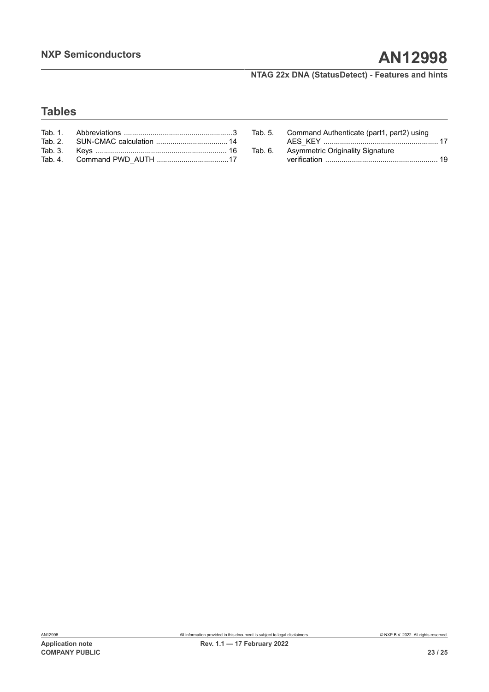## **Tables**

|         | Tab. 5. Command Authenticate (part1, part2) using |  |
|---------|---------------------------------------------------|--|
|         |                                                   |  |
| Tab. 6. | <b>Asymmetric Originality Signature</b>           |  |
|         |                                                   |  |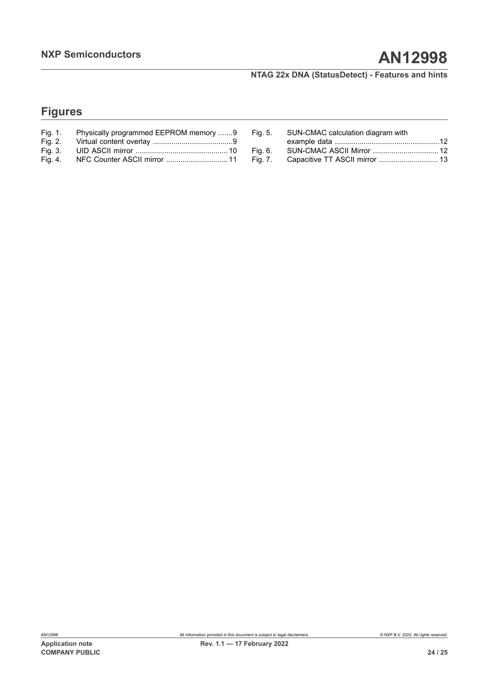# **Figures**

| Fig. 1. | Physically programmed EEPROM memory 9 |
|---------|---------------------------------------|
| Fig. 2. |                                       |
| Fig. 3. |                                       |
| Fig. 4. | NFC Counter ASCII mirror  11          |

| Fig. 5. SUN-CMAC calculation diagram with<br>SUN-CMAC ASCII Mirror  12 |
|------------------------------------------------------------------------|